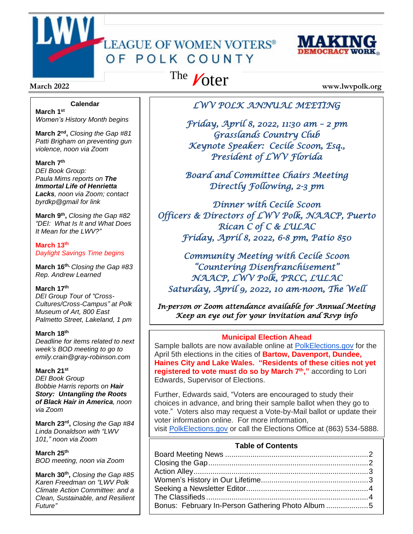# LEAGUE OF WOMEN VOTERS® OF POLK COUNTY



#### **Calendar**

**March 1 st** *Women's History Month begins*

**March 2<sup>nd</sup>**, Closing the Gap #81 *Patti Brigham on preventing gun violence, noon via Zoom*

#### **March 7 th**

*DEI Book Group: Paula Mims reports on The Immortal Life of Henrietta Lacks, noon via Zoom; contact byrdkp@gmail for link*

**March 9 th ,** *Closing the Gap #82 "DEI: What Is It and What Does It Mean for the LWV?"*

**March 13th** *Daylight Savings Time begins*

**March 16 th,** *Closing the Gap #83 Rep. Andrew Learned*

#### **March 17 th**

*DEI Group Tour of "Cross-Cultures/Cross-Campus" at Polk Museum of Art, 800 East Palmetto Street, Lakeland, 1 pm*

#### **March 18 th**

*Deadline for items related to next week's BOD meeting to go to emily.crain@gray-robinson.com*

#### **March 21st**

*DEI Book Group Bobbie Harris reports on Hair Story: Untangling the Roots of Black Hair in America, noon via Zoom*

**March 23rd ,** *Closing the Gap #84 Linda Donaldson with "LWV 101," noon via Zoom*

#### **March 25th**

*BOD meeting, noon via Zoom*

**March 30th ,** *Closing the Gap #85 Karen Freedman on "LWV Polk Climate Action Committee: and a Clean, Sustainable, and Resilient Future"*

# The Voter

**March** 2022 **www.lwvpolk.org** 

#### *LWV POLK ANNUAL MEETING*

*Friday, April 8, 2022, 11:30 am – 2 pm Grasslands Country Club Keynote Speaker: Cecile Scoon, Esq., President of LWV Florida* 

*Board and Committee Chairs Meeting Directly Following, 2-3 pm* 

*Dinner with Cecile Scoon Officers & Directors of LWV Polk, NAACP, Puerto Rican C of C & LULAC Friday, April 8, 2022, 6-8 pm, Patio 850* 

*Community Meeting with Cecile Scoon "Countering Disenfranchisement" NAACP, LWV Polk, PRCC, LULAC Saturday, April 9, 2022, 10 am-noon, The Well* 

*In-person or Zoom attendance available for Annual Meeting Keep an eye out for your invitation and Rsvp info* 

#### **Municipal Election Ahead**

Sample ballots are now available online at [PolkElections.gov](https://www.polkelections.gov/) for the April 5th elections in the cities of **Bartow, Davenport, Dundee, Haines City and Lake Wales. "Residents of these cities not yet registered to vote must do so by March 7th ,"** according to Lori Edwards, Supervisor of Elections.

Further, Edwards said, "Voters are encouraged to study their choices in advance, and bring their sample ballot when they go to vote." Voters also may request a Vote-by-Mail ballot or update their voter information online. For more information, visit [PolkElections.gov](https://www.polkelections.gov/) or call the Elections Office at (863) 534-5888.

#### **Table of Contents**

| Bonus: February In-Person Gathering Photo Album 5 |  |
|---------------------------------------------------|--|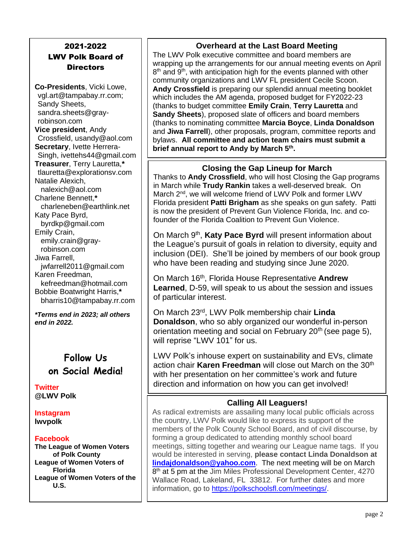### 2021-2022 LWV Polk Board of **Directors**

**Co-Presidents**, Vicki Lowe, vgl.art@tampabay.rr.com; Sandy Sheets, sandra.sheets@grayrobinson.com **Vice president**, Andy Crossfield, usandy@aol.com **Secretary**, Ivette Herrera-Singh, ivettehs44@gmail.com **Treasurer**, Terry Lauretta,**\*** tlauretta@explorationsv.com Natalie Alexich, nalexich@aol.com Charlene Bennett,**\*** charleneben@earthlink.net Katy Pace Byrd, byrdkp@gmail.com Emily Crain, emily.crain@grayrobinson.com Jiwa Farrell, jwfarrell2011@gmail.com Karen Freedman, kefreedman@hotmail.com Bobbie Boatwright Harris,**\*** bharris10@tampabay.rr.com

*\*Terms end in 2023; all others end in 2022.*

## **Follow Us on Social Media!**

**Twitter @LWV Polk**

**Instagram lwvpolk**

#### **Facebook**

**The League of Women Voters of Polk County League of Women Voters of Florida League of Women Voters of the U.S.**

#### **Overheard at the Last Board Meeting**

The LWV Polk executive committee and board members are wrapping up the arrangements for our annual meeting events on April 8<sup>th</sup> and 9<sup>th</sup>, with anticipation high for the events planned with other community organizations and LWV FL president Cecile Scoon. **Andy Crossfield** is preparing our splendid annual meeting booklet which includes the AM agenda, proposed budget for FY2022-23 (thanks to budget committee **Emily Crain**, **Terry Lauretta** and **Sandy Sheets**), proposed slate of officers and board members (thanks to nominating committee **Marcia Boyce**, **Linda Donaldson** and **Jiwa Farrell**), other proposals, program, committee reports and bylaws. **All committee and action team chairs must submit a brief annual report to Andy by March 5th .**

#### **Closing the Gap Lineup for March**

Thanks to **Andy Crossfield**, who will host Closing the Gap programs in March while **Trudy Rankin** takes a well-deserved break. On March 2<sup>nd</sup>, we will welcome friend of LWV Polk and former LWV Florida president **Patti Brigham** as she speaks on gun safety. Patti is now the president of Prevent Gun Violence Florida, Inc. and cofounder of the Florida Coalition to Prevent Gun Violence.

On March 9<sup>th</sup>, Katy Pace Byrd will present information about the League's pursuit of goals in relation to diversity, equity and inclusion (DEI). She'll be joined by members of our book group who have been reading and studying since June 2020.

On March 16th , Florida House Representative **Andrew Learned**, D-59, will speak to us about the session and issues of particular interest.

On March 23rd , LWV Polk membership chair **Linda Donaldson**, who so ably organized our wonderful in-person orientation meeting and social on February 20<sup>th</sup> (see page 5), will reprise "LWV 101" for us.

LWV Polk's inhouse expert on sustainability and EVs, climate action chair **Karen Freedman** will close out March on the 30<sup>th</sup> with her presentation on her committee's work and future direction and information on how you can get involved!

#### **Calling All Leaguers!**

As radical extremists are assailing many local public officials across the country, LWV Polk would like to express its support of the members of the Polk County School Board, and of civil discourse, by forming a group dedicated to attending monthly school board meetings, sitting together and wearing our League name tags. If you would be interested in serving, **please contact Linda Donaldson at [lindajdonaldson@yahoo.com](mailto:lindajdonaldson@yahoo.com)**. The next meeting will be on March 8<sup>th</sup> at 5 pm at the Jim Miles Professional Development Center, 4270 Wallace Road, Lakeland, FL 33812. For further dates and more information, go to [https://polkschoolsfl.com/meetings/.](https://polkschoolsfl.com/meetings/)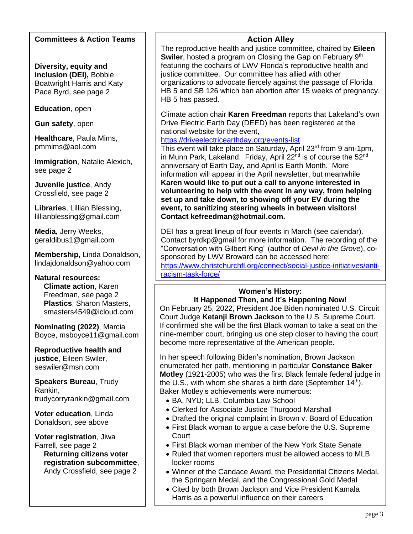#### **Committees & Action Teams**

**Diversity, equity and inclusion (DEI),** Bobbie Boatwright Harris and Katy Pace Byrd, see page 2

**Education**, open

**Gun safety**, open

**Healthcare**, Paula Mims, pmmims@aol.com

**Immigration**, Natalie Alexich, see page 2

**Juvenile justice**, Andy Crossfield, see page 2

**Libraries**, Lillian Blessing, lillianblessing@gmail.com

**Media,** Jerry Weeks, geraldibus1@gmail.com

**Membership,** Linda Donaldson, lindajdonaldson@yahoo.com

**Natural resources: Climate action**, Karen Freedman, see page 2 **Plastics**, Sharon Masters, smasters4549@icloud.com

**Nominating (2022)**, Marcia Boyce, msboyce11@gmail.com

**Reproductive health and justice**, Eileen Swiler, seswiler@msn.com

**Speakers Bureau**, Trudy Rankin, trudycorryrankin@gmail.com

**Voter education**, Linda Donaldson, see above

**Voter registration**, Jiwa Farrell, see page 2 **Returning citizens voter registration subcommittee**,

Andy Crossfield, see page 2

#### **Action Alley**

The reproductive health and justice committee, chaired by **Eileen**  Swiler, hosted a program on Closing the Gap on February 9<sup>th</sup> featuring the cochairs of LWV Florida's reproductive health and justice committee. Our committee has allied with other organizations to advocate fiercely against the passage of Florida HB 5 and SB 126 which ban abortion after 15 weeks of pregnancy. HB 5 has passed.

Climate action chair **Karen Freedman** reports that Lakeland's own Drive Electric Earth Day (DEED) has been registered at the national website for the event,

<https://driveelectricearthday.org/events-list>

This event will take place on Saturday, April 23<sup>rd</sup> from 9 am-1pm, in Munn Park, Lakeland. Friday, April 22<sup>nd</sup> is of course the  $52<sup>nd</sup>$ anniversary of Earth Day, and April is Earth Month. More information will appear in the April newsletter, but meanwhile **Karen would like to put out a call to anyone interested in volunteering to help with the event in any way, from helping set up and take down, to showing off your EV during the event, to sanitizing steering wheels in between visitors! Contact kefreedman@hotmail.com.**

DEI has a great lineup of four events in March (see calendar). Contact byrdkp@gmail for more information. The recording of the "Conversation with Gilbert King" (author of *Devil in the Grove*), cosponsored by LWV Broward can be accessed here: [https://www.christchurchfl.org/connect/social-justice-initiatives/anti](https://www.christchurchfl.org/connect/social-justice-initiatives/anti-racism-task-force/)[racism-task-force/](https://www.christchurchfl.org/connect/social-justice-initiatives/anti-racism-task-force/)

### **Women's History:**

#### **It Happened Then, and It's Happening Now!**

On February 25, 2022, President Joe Biden nominated U.S. Circuit Court Judge **Ketanji Brown Jackson** to the U.S. Supreme Court. If confirmed she will be the first Black woman to take a seat on the nine-member court, bringing us one step closer to having the court become more representative of the American people.

In her speech following Biden's nomination, Brown Jackson enumerated her path, mentioning in particular **Constance Baker Motley** (1921-2005) who was the first Black female federal judge in the U.S., with whom she shares a birth date (September  $14<sup>th</sup>$ ). Baker Motley's achievements were numerous:

- BA, NYU; LLB, Columbia Law School
- Clerked for Associate Justice Thurgood Marshall
- Drafted the original complaint in Brown v. Board of Education
- First Black woman to argue a case before the U.S. Supreme Court
- First Black woman member of the New York State Senate
- Ruled that women reporters must be allowed access to MLB locker rooms
- Winner of the Candace Award, the Presidential Citizens Medal, the Springarn Medal, and the Congressional Gold Medal
- Cited by both Brown Jackson and Vice President Kamala Harris as a powerful influence on their careers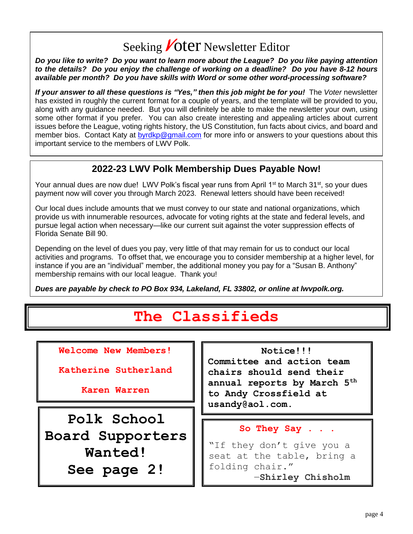# Seeking **Voter** Newsletter Editor

*Do you like to write? Do you want to learn more about the League? Do you like paying attention to the details? Do you enjoy the challenge of working on a deadline? Do you have 8-12 hours available per month? Do you have skills with Word or some other word-processing software?*

*If your answer to all these questions is "Yes," then this job might be for you!* The *Voter* newsletter has existed in roughly the current format for a couple of years, and the template will be provided to you, along with any guidance needed. But you will definitely be able to make the newsletter your own, using some other format if you prefer. You can also create interesting and appealing articles about current issues before the League, voting rights history, the US Constitution, fun facts about civics, and board and member bios. Contact Katy at [byrdkp@gmail.com](mailto:byrdkp@gmail.com) for more info or answers to your questions about this important service to the members of LWV Polk.

### **2022-23 LWV Polk Membership Dues Payable Now!**

Your annual dues are now due! LWV Polk's fiscal year runs from April 1<sup>st</sup> to March 31<sup>st</sup>, so your dues payment now will cover you through March 2023. Renewal letters should have been received!

Our local dues include amounts that we must convey to our state and national organizations, which provide us with innumerable resources, advocate for voting rights at the state and federal levels, and pursue legal action when necessary—like our current suit against the voter suppression effects of Florida Senate Bill 90.

Depending on the level of dues you pay, very little of that may remain for us to conduct our local activities and programs. To offset that, we encourage you to consider membership at a higher level, for instance if you are an "individual" member, the additional money you pay for a "Susan B. Anthony" membership remains with our local league. Thank you!

*Dues are payable by check to PO Box 934, Lakeland, FL 33802, or online at lwvpolk.org.*

# **The Classifieds**

**Welcome New Members!**

**Katherine Sutherland**

**Karen Warren**

**Polk School Board Supporters Wanted! See page 2!**

#### **Notice!!!**

**Committee and action team chairs should send their annual reports by March 5th to Andy Crossfield at usandy@aol.com.**

#### **So They Say . . .**

"If they don't give you a seat at the table, bring a folding chair." ―**Shirley Chisholm**